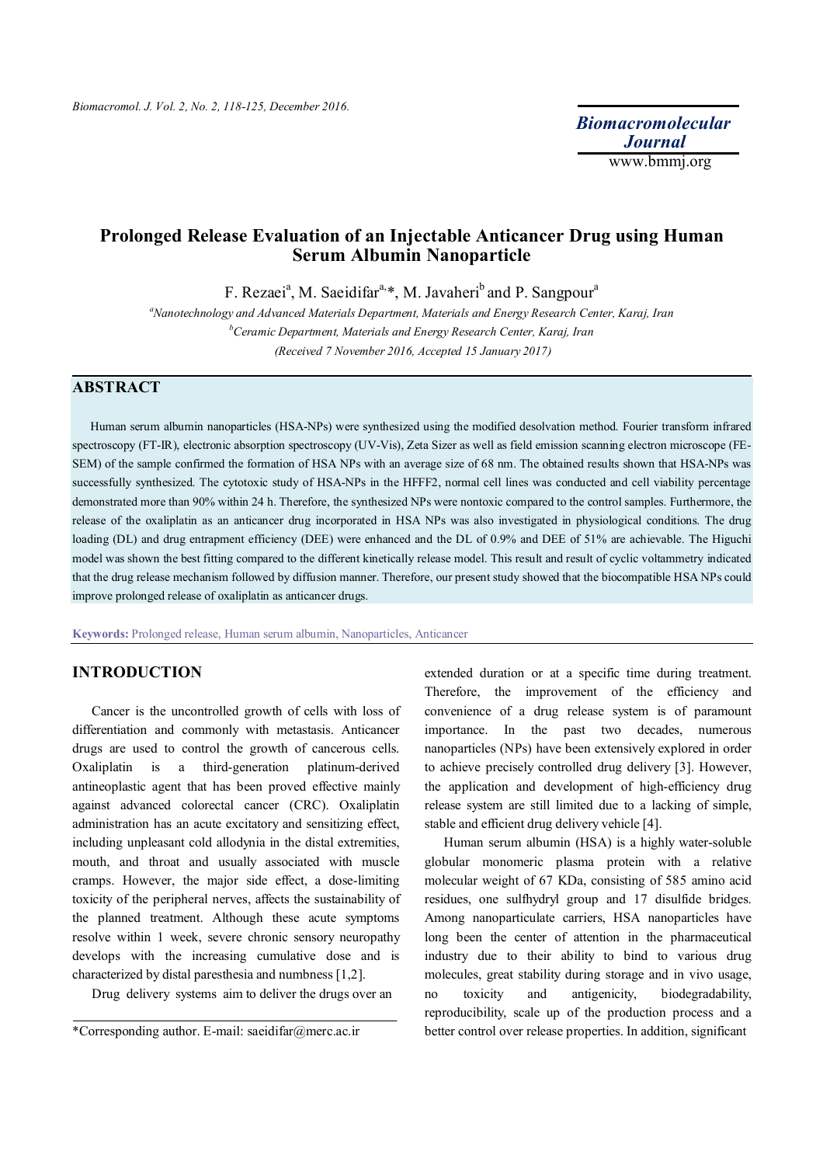*Biomacromolecular Journal* www.bmmj.org

# **Prolonged Release Evaluation of an Injectable Anticancer Drug using Human Serum Albumin Nanoparticle**

F. Rezaei<sup>a</sup>, M. Saeidifar<sup>a,\*</sup>, M. Javaheri<sup>b</sup> and P. Sangpour<sup>a</sup>

*<sup>a</sup>Nanotechnology and Advanced Materials Department, Materials and Energy Research Center, Karaj, Iran <sup>b</sup>Ceramic Department, Materials and Energy Research Center, Karaj, Iran (Received 7 November 2016, Accepted 15 January 2017)*

# **ABSTRACT**

 Human serum albumin nanoparticles (HSA-NPs) were synthesized using the modified desolvation method. Fourier transform infrared spectroscopy (FT-IR), electronic absorption spectroscopy (UV-Vis), Zeta Sizer as well as field emission scanning electron microscope (FE-SEM) of the sample confirmed the formation of HSA NPs with an average size of 68 nm. The obtained results shown that HSA-NPs was successfully synthesized. The cytotoxic study of HSA-NPs in the HFFF2, normal cell lines was conducted and cell viability percentage demonstrated more than 90% within 24 h. Therefore, the synthesized NPs were nontoxic compared to the control samples. Furthermore, the release of the oxaliplatin as an anticancer drug incorporated in HSA NPs was also investigated in physiological conditions. The drug loading (DL) and drug entrapment efficiency (DEE) were enhanced and the DL of 0.9% and DEE of 51% are achievable. The Higuchi model was shown the best fitting compared to the different kinetically release model. This result and result of cyclic voltammetry indicated that the drug release mechanism followed by diffusion manner. Therefore, our present study showed that the biocompatible HSA NPs could improve prolonged release of oxaliplatin as anticancer drugs.

**Keywords:** Prolonged release, Human serum albumin, Nanoparticles, Anticancer

## **INTRODUCTION**

 Cancer is the uncontrolled growth of cells with loss of differentiation and commonly with metastasis. Anticancer drugs are used to control the growth of cancerous cells. Oxaliplatin is a third-generation platinum-derived antineoplastic agent that has been proved effective mainly against advanced colorectal cancer (CRC). Oxaliplatin administration has an acute excitatory and sensitizing effect, including unpleasant cold allodynia in the distal extremities, mouth, and throat and usually associated with muscle cramps. However, the major side effect, a dose-limiting toxicity of the peripheral nerves, affects the sustainability of the planned treatment. Although these acute symptoms resolve within 1 week, severe chronic sensory neuropathy develops with the increasing cumulative dose and is characterized by distal paresthesia and numbness [1,2].

Drug delivery systems aim to deliver the drugs over an

extended duration or at a specific time during treatment. Therefore, the improvement of the efficiency and convenience of a drug release system is of paramount importance. In the past two decades, numerous nanoparticles (NPs) have been extensively explored in order to achieve precisely controlled drug delivery [3]. However, the application and development of high-efficiency drug release system are still limited due to a lacking of simple, stable and efficient drug delivery vehicle [4].

 Human serum albumin (HSA) is a highly water-soluble globular monomeric plasma protein with a relative molecular weight of 67 KDa, consisting of 585 amino acid residues, one sulfhydryl group and 17 disulfide bridges. Among nanoparticulate carriers, HSA nanoparticles have long been the center of attention in the pharmaceutical industry due to their ability to bind to various drug molecules, great stability during storage and in vivo usage, no toxicity and antigenicity, biodegradability, reproducibility, scale up of the production process and a better control over release properties. In addition, significant

<sup>\*</sup>Corresponding author. E-mail: saeidifar@merc.ac.ir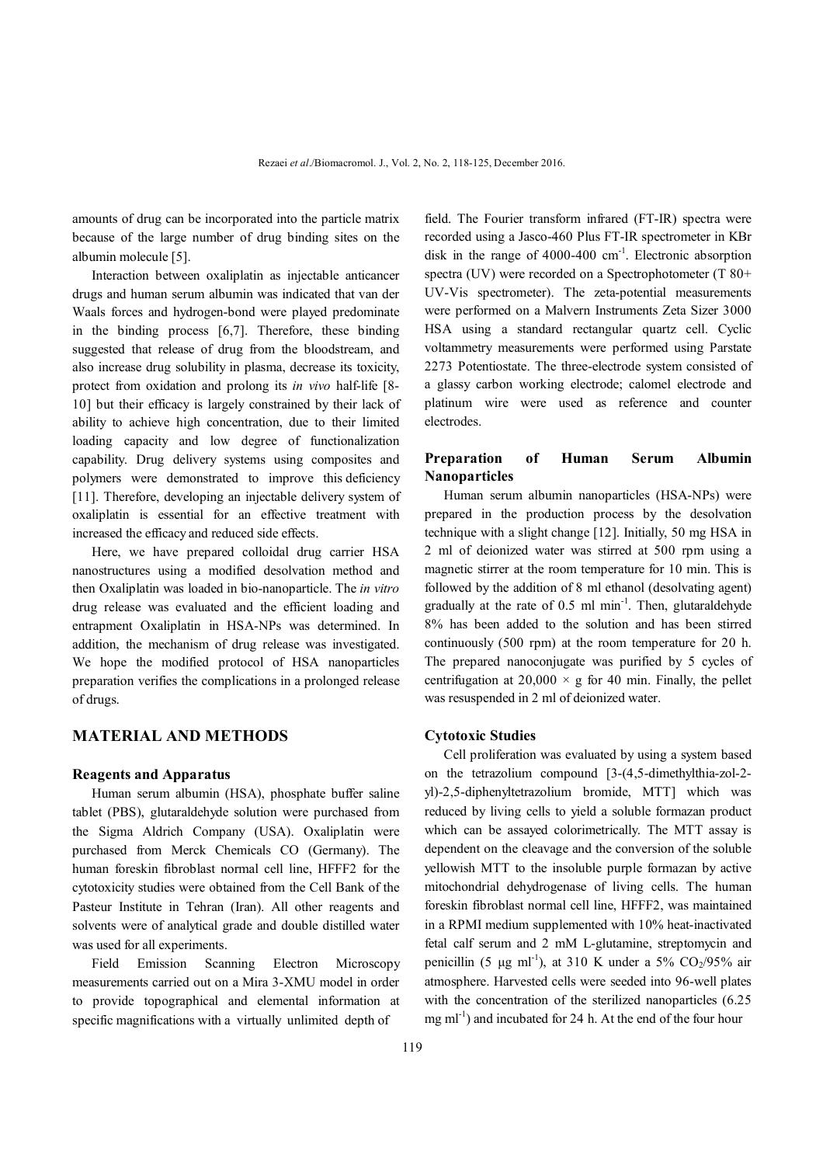amounts of drug can be incorporated into the particle matrix because of the large number of drug binding sites on the albumin molecule [5].

 Interaction between oxaliplatin as injectable anticancer drugs and human serum albumin was indicated that van der Waals forces and hydrogen-bond were played predominate in the binding process [6,7]. Therefore, these binding suggested that release of drug from the bloodstream, and also increase drug solubility in plasma, decrease its toxicity, protect from oxidation and prolong its *in vivo* half-life [8- 10] but their efficacy is largely constrained by their lack of ability to achieve high concentration, due to their limited loading capacity and low degree of functionalization capability. Drug delivery systems using composites and polymers were demonstrated to improve this deficiency [11]. Therefore, developing an injectable delivery system of oxaliplatin is essential for an effective treatment with increased the efficacy and reduced side effects.

 Here, we have prepared colloidal drug carrier HSA nanostructures using a modified desolvation method and then Oxaliplatin was loaded in bio-nanoparticle. The *in vitro*  drug release was evaluated and the efficient loading and entrapment Oxaliplatin in HSA-NPs was determined. In addition, the mechanism of drug release was investigated. We hope the modified protocol of HSA nanoparticles preparation verifies the complications in a prolonged release of drugs.

### **MATERIAL AND METHODS**

#### **Reagents and Apparatus**

 Human serum albumin (HSA), phosphate buffer saline tablet (PBS), glutaraldehyde solution were purchased from the Sigma Aldrich Company (USA). Oxaliplatin were purchased from Merck Chemicals CO (Germany). The human foreskin fibroblast normal cell line, HFFF2 for the cytotoxicity studies were obtained from the Cell Bank of the Pasteur Institute in Tehran (Iran). All other reagents and solvents were of analytical grade and double distilled water was used for all experiments.

 Field Emission Scanning Electron Microscopy measurements carried out on a Mira 3-XMU model in order to provide topographical and elemental information at specific magnifications with a virtually unlimited depth of

field. The Fourier transform infrared (FT-IR) spectra were recorded using a Jasco-460 Plus FT-IR spectrometer in KBr disk in the range of 4000-400 cm<sup>-1</sup>. Electronic absorption spectra (UV) were recorded on a Spectrophotometer (T 80+ UV-Vis spectrometer). The zeta-potential measurements were performed on a Malvern Instruments Zeta Sizer 3000 HSA using a standard rectangular quartz cell. Cyclic voltammetry measurements were performed using Parstate 2273 Potentiostate. The three-electrode system consisted of a glassy carbon working electrode; calomel electrode and platinum wire were used as reference and counter electrodes.

### **Preparation of Human Serum Albumin Nanoparticles**

 Human serum albumin nanoparticles (HSA-NPs) were prepared in the production process by the desolvation technique with a slight change [12]. Initially, 50 mg HSA in 2 ml of deionized water was stirred at 500 rpm using a magnetic stirrer at the room temperature for 10 min. This is followed by the addition of 8 ml ethanol (desolvating agent) gradually at the rate of 0.5 ml min<sup>-1</sup>. Then, glutaraldehyde 8% has been added to the solution and has been stirred continuously (500 rpm) at the room temperature for 20 h. The prepared nanoconjugate was purified by 5 cycles of centrifugation at  $20,000 \times g$  for 40 min. Finally, the pellet was resuspended in 2 ml of deionized water.

### **Cytotoxic Studies**

 Cell proliferation was evaluated by using a system based on the tetrazolium compound [3-(4,5-dimethylthia-zol-2 yl)-2,5-diphenyltetrazolium bromide, MTT] which was reduced by living cells to yield a soluble formazan product which can be assayed colorimetrically. The MTT assay is dependent on the cleavage and the conversion of the soluble yellowish MTT to the insoluble purple formazan by active mitochondrial dehydrogenase of living cells. The human foreskin fibroblast normal cell line, HFFF2, was maintained in a RPMI medium supplemented with 10% heat-inactivated fetal calf serum and 2 mM L-glutamine, streptomycin and penicillin (5  $\mu$ g ml<sup>-1</sup>), at 310 K under a 5% CO<sub>2</sub>/95% air atmosphere. Harvested cells were seeded into 96-well plates with the concentration of the sterilized nanoparticles (6.25)  $mg$  ml<sup>-1</sup>) and incubated for 24 h. At the end of the four hour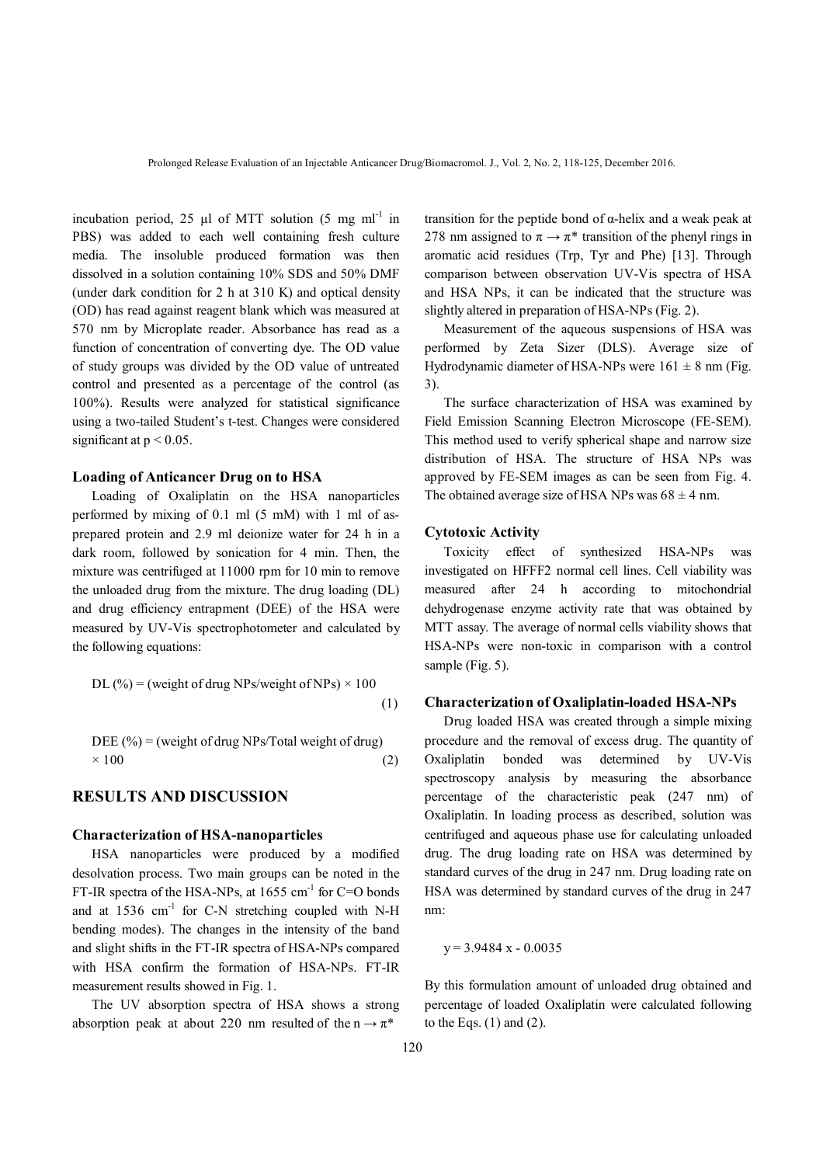incubation period, 25  $\mu$ l of MTT solution (5 mg ml<sup>-1</sup> in PBS) was added to each well containing fresh culture media. The insoluble produced formation was then dissolved in a solution containing 10% SDS and 50% DMF (under dark condition for 2 h at 310 K) and optical density (OD) has read against reagent blank which was measured at 570 nm by Microplate reader. Absorbance has read as a function of concentration of converting dye. The OD value of study groups was divided by the OD value of untreated control and presented as a percentage of the control (as 100%). Results were analyzed for statistical significance using a two-tailed Student's t-test. Changes were considered significant at  $p < 0.05$ .

### **Loading of Anticancer Drug on to HSA**

 Loading of Oxaliplatin on the HSA nanoparticles performed by mixing of 0.1 ml (5 mM) with 1 ml of asprepared protein and 2.9 ml deionize water for 24 h in a dark room, followed by sonication for 4 min. Then, the mixture was centrifuged at 11000 rpm for 10 min to remove the unloaded drug from the mixture. The drug loading (DL) and drug efficiency entrapment (DEE) of the HSA were measured by UV-Vis spectrophotometer and calculated by the following equations:

DL (%) = (weight of drug NPs/weight of NPs) × 100 
$$
(1)
$$

$$
DEE (%) = (weight of drug NPs/Total weight of drug)
$$
  
× 100 (2)

# **RESULTS AND DISCUSSION**

#### **Characterization of HSA-nanoparticles**

 HSA nanoparticles were produced by a modified desolvation process. Two main groups can be noted in the FT-IR spectra of the HSA-NPs, at  $1655 \text{ cm}^{-1}$  for C=O bonds and at  $1536$  cm<sup>-1</sup> for C-N stretching coupled with N-H bending modes). The changes in the intensity of the band and slight shifts in the FT-IR spectra of HSA-NPs compared with HSA confirm the formation of HSA-NPs. FT-IR measurement results showed in Fig. 1.

 The UV absorption spectra of HSA shows a strong absorption peak at about 220 nm resulted of the  $n \rightarrow \pi^*$ 

transition for the peptide bond of α-helix and a weak peak at 278 nm assigned to  $\pi \rightarrow \pi^*$  transition of the phenyl rings in aromatic acid residues (Trp, Tyr and Phe) [13]. Through comparison between observation UV-Vis spectra of HSA and HSA NPs, it can be indicated that the structure was slightly altered in preparation of HSA-NPs (Fig. 2).

 Measurement of the aqueous suspensions of HSA was performed by Zeta Sizer (DLS). Average size of Hydrodynamic diameter of HSA-NPs were  $161 \pm 8$  nm (Fig. 3).

 The surface characterization of HSA was examined by Field Emission Scanning Electron Microscope (FE-SEM). This method used to verify spherical shape and narrow size distribution of HSA. The structure of HSA NPs was approved by FE-SEM images as can be seen from Fig. 4. The obtained average size of HSA NPs was  $68 \pm 4$  nm.

#### **Cytotoxic Activity**

 Toxicity effect of synthesized HSA-NPs was investigated on HFFF2 normal cell lines. Cell viability was measured after 24 h according to mitochondrial dehydrogenase enzyme activity rate that was obtained by MTT assay. The average of normal cells viability shows that HSA-NPs were non-toxic in comparison with a control sample (Fig. 5).

### **Characterization of Oxaliplatin-loaded HSA-NPs**

 Drug loaded HSA was created through a simple mixing procedure and the removal of excess drug. The quantity of Oxaliplatin bonded was determined by UV-Vis spectroscopy analysis by measuring the absorbance percentage of the characteristic peak (247 nm) of Oxaliplatin. In loading process as described, solution was centrifuged and aqueous phase use for calculating unloaded drug. The drug loading rate on HSA was determined by standard curves of the drug in 247 nm. Drug loading rate on HSA was determined by standard curves of the drug in 247 nm:

$$
y = 3.9484 x - 0.0035
$$

By this formulation amount of unloaded drug obtained and percentage of loaded Oxaliplatin were calculated following to the Eqs.  $(1)$  and  $(2)$ .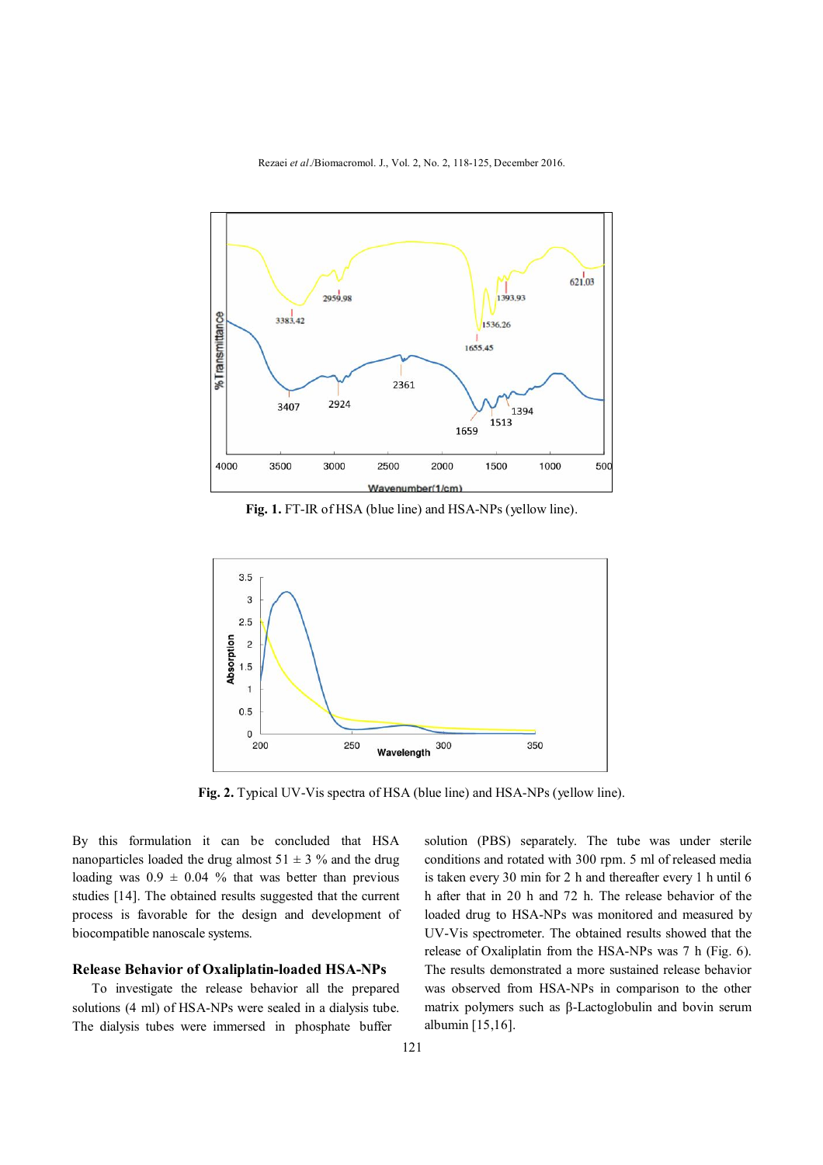Rezaei *et al*./Biomacromol. J., Vol. 2, No. 2, 118-125, December 2016.



**Fig. 1.** FT-IR of HSA (blue line) and HSA-NPs (yellow line).



**Fig. 2.** Typical UV-Vis spectra of HSA (blue line) and HSA-NPs (yellow line).

By this formulation it can be concluded that HSA nanoparticles loaded the drug almost  $51 \pm 3$  % and the drug loading was  $0.9 \pm 0.04$  % that was better than previous studies [14]. The obtained results suggested that the current process is favorable for the design and development of biocompatible nanoscale systems.

### **Release Behavior of Oxaliplatin-loaded HSA-NPs**

 To investigate the release behavior all the prepared solutions (4 ml) of HSA-NPs were sealed in a dialysis tube. The dialysis tubes were immersed in phosphate buffer

solution (PBS) separately. The tube was under sterile conditions and rotated with 300 rpm. 5 ml of released media is taken every 30 min for 2 h and thereafter every 1 h until 6 h after that in 20 h and 72 h. The release behavior of the loaded drug to HSA-NPs was monitored and measured by UV-Vis spectrometer. The obtained results showed that the release of Oxaliplatin from the HSA-NPs was 7 h (Fig. 6). The results demonstrated a more sustained release behavior was observed from HSA-NPs in comparison to the other matrix polymers such as β-Lactoglobulin and bovin serum albumin [15,16].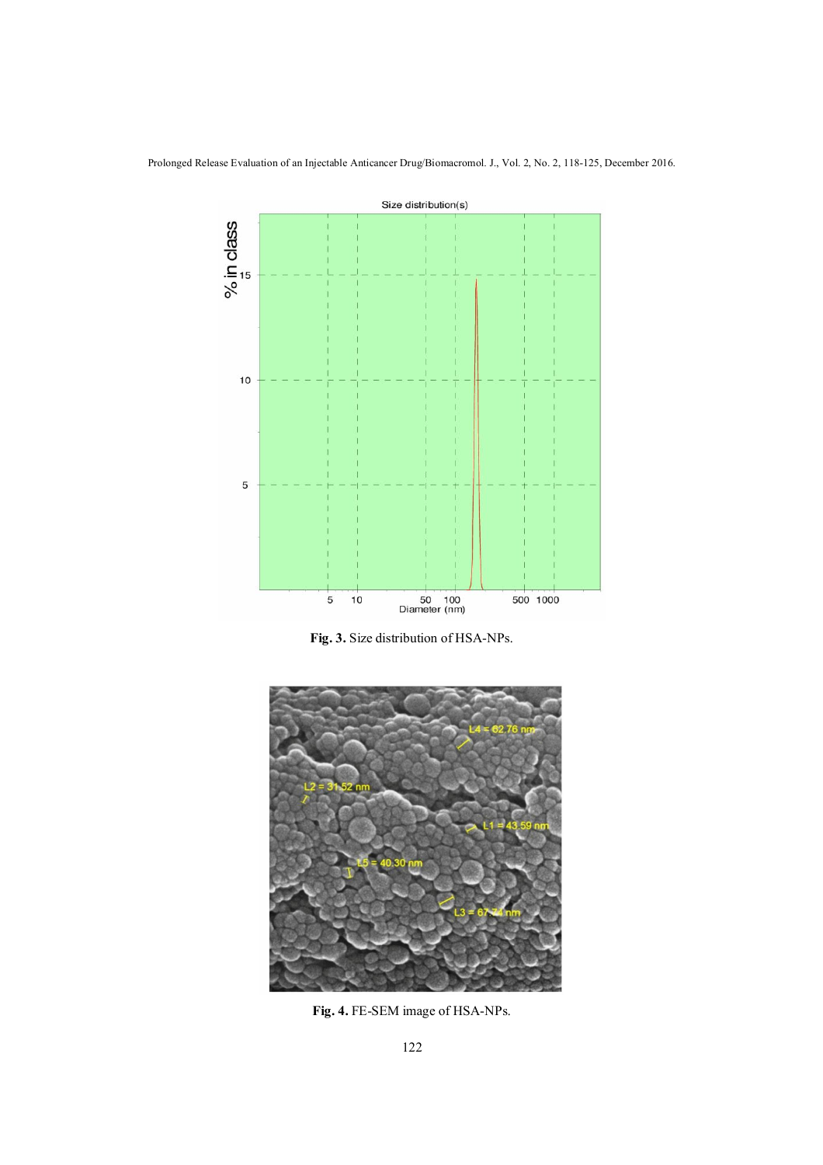Prolonged Release Evaluation of an Injectable Anticancer Drug/Biomacromol. J., Vol. 2, No. 2, 118-125, December 2016.



**Fig. 3.** Size distribution of HSA-NPs.



**Fig. 4.** FE-SEM image of HSA-NPs.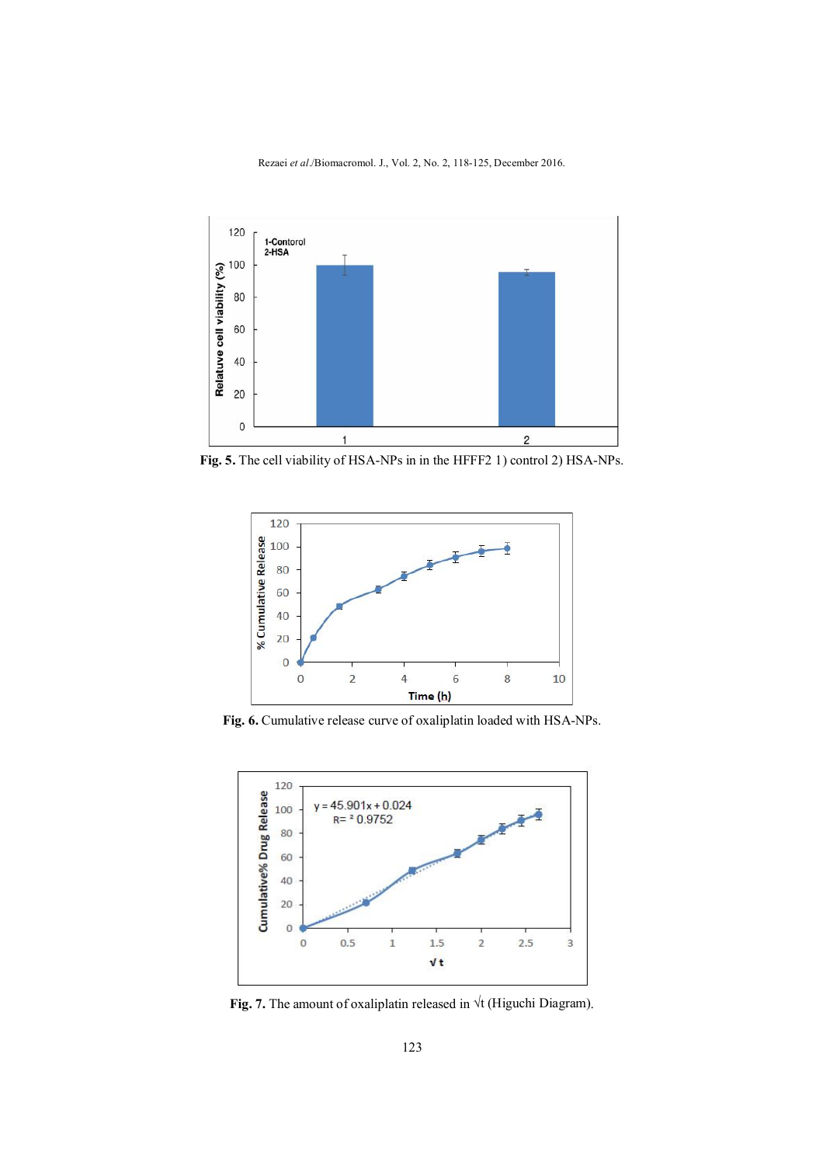Rezaei *et al*./Biomacromol. J., Vol. 2, No. 2, 118-125, December 2016.



**Fig. 5.** The cell viability of HSA-NPs in in the HFFF2 1) control 2) HSA-NPs.



**Fig. 6.** Cumulative release curve of oxaliplatin loaded with HSA-NPs.



**Fig. 7.** The amount of oxaliplatin released in √t (Higuchi Diagram).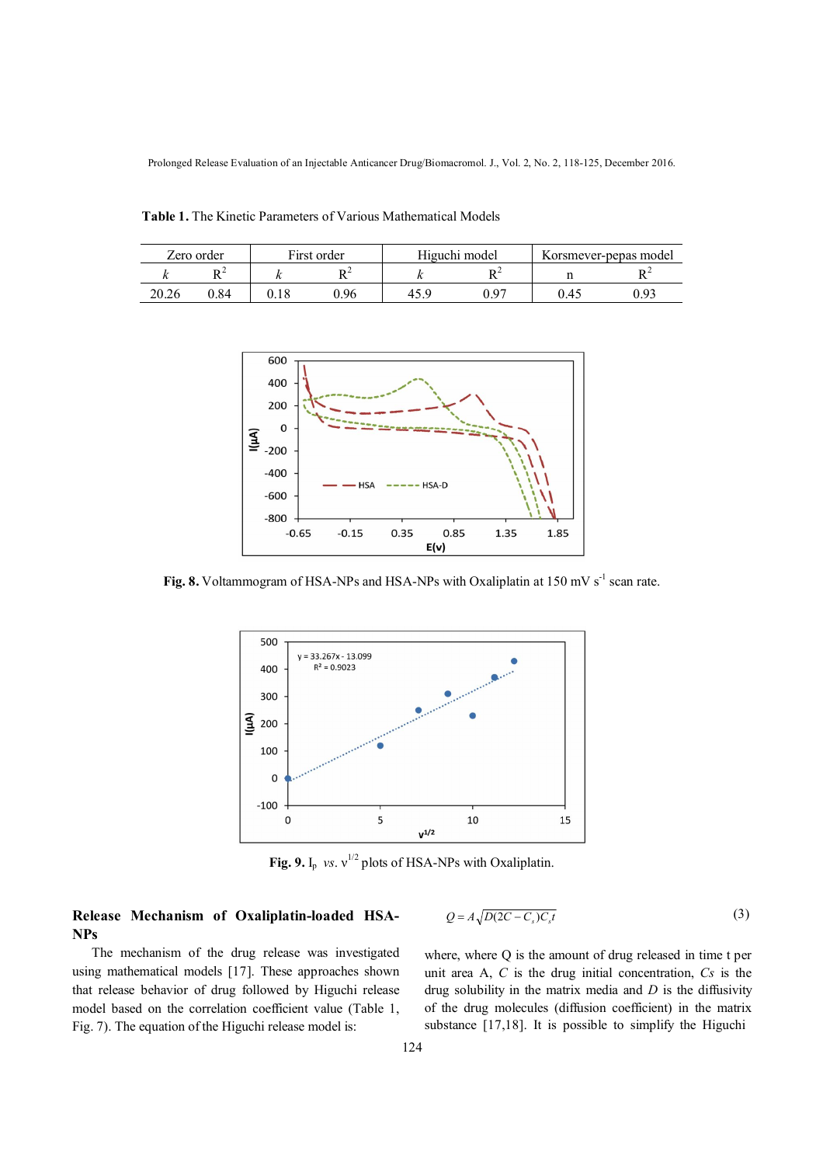Prolonged Release Evaluation of an Injectable Anticancer Drug/Biomacromol. J., Vol. 2, No. 2, 118-125, December 2016.

 **Table 1.** The Kinetic Parameters of Various Mathematical Models

| Zero order |      | First order |      | Higuchi model |      | Korsmever-pepas model |  |
|------------|------|-------------|------|---------------|------|-----------------------|--|
|            |      |             | DΖ   |               |      |                       |  |
| 20.26      | 0.84 |             | 1.96 |               | በ 07 |                       |  |



Fig. 8. Voltammogram of HSA-NPs and HSA-NPs with Oxaliplatin at 150 mV s<sup>-1</sup> scan rate.



**Fig. 9.** I<sub>p</sub> *vs.*  $v^{1/2}$  plots of HSA-NPs with Oxaliplatin.

# **Release Mechanism of Oxaliplatin-loaded HSA-NPs**

$$
Q = A \sqrt{D(2C - C_s)C_s t} \tag{3}
$$

 The mechanism of the drug release was investigated using mathematical models [17]. These approaches shown that release behavior of drug followed by Higuchi release model based on the correlation coefficient value (Table 1, Fig. 7). The equation of the Higuchi release model is:

where, where Q is the amount of drug released in time t per unit area A, *C* is the drug initial concentration, *Cs* is the drug solubility in the matrix media and *D* is the diffusivity of the drug molecules (diffusion coefficient) in the matrix substance [17,18]. It is possible to simplify the Higuchi